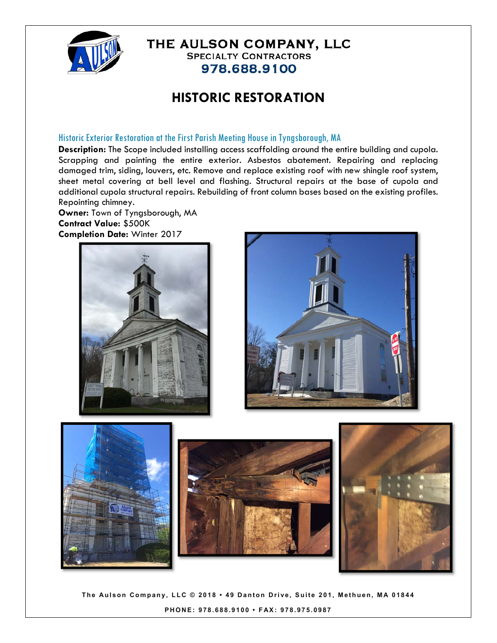

978.688.9100

# **HISTORIC RESTORATION**

## Historic Exterior Restoration at the First Parish Meeting House in Tyngsborough, MA

**Description:** The Scope included installing access scaffolding around the entire building and cupola. Scrapping and painting the entire exterior. Asbestos abatement. Repairing and replacing damaged trim, siding, louvers, etc. Remove and replace existing roof with new shingle roof system, sheet metal covering at bell level and flashing. Structural repairs at the base of cupola and additional cupola structural repairs. Rebuilding of front column bases based on the existing profiles. Repointing chimney.

**Owner:** Town of Tyngsborough, MA **Contract Value:** \$500K **Completion Date:** Winter 2017





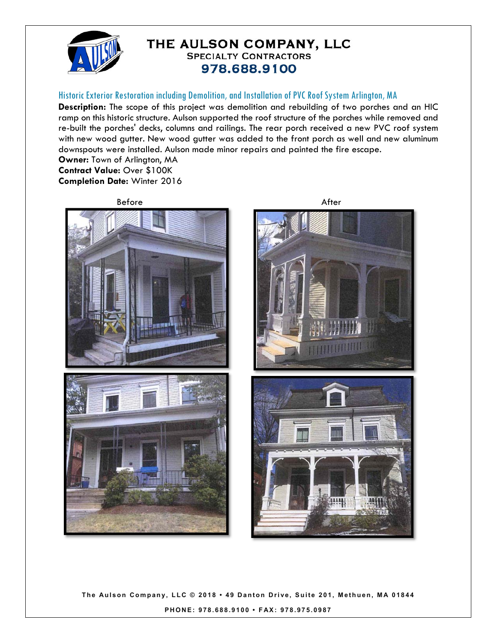

#### Historic Exterior Restoration including Demolition, and Installation of PVC Roof System Arlington, MA

**Description:** The scope of this project was demolition and rebuilding of two porches and an HIC ramp on this historic structure. Aulson supported the roof structure of the porches while removed and re-built the porches' decks, columns and railings. The rear porch received a new PVC roof system with new wood gutter. New wood gutter was added to the front porch as well and new aluminum downspouts were installed. Aulson made minor repairs and painted the fire escape.

**Owner:** Town of Arlington, MA **Contract Value:** Over \$100K **Completion Date:** Winter 2016

Before After Accounts After



**THEFT OF** 

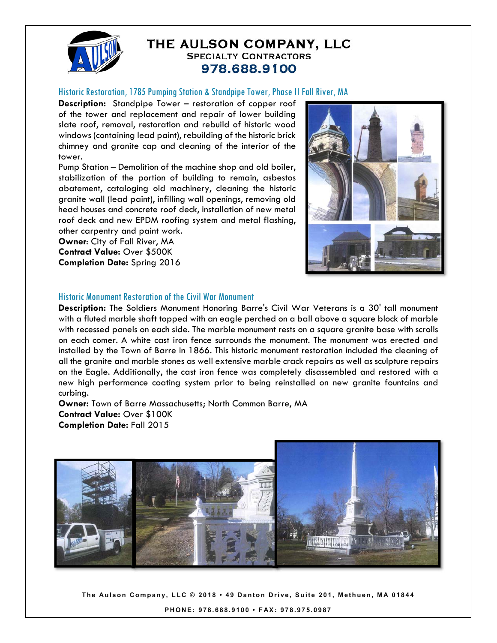

#### Historic Restoration, 1785 Pumping Station & Standpipe Tower, Phase II Fall River, MA

**Description:** Standpipe Tower – restoration of copper roof of the tower and replacement and repair of lower building slate roof, removal, restoration and rebuild of historic wood windows (containing lead paint), rebuilding of the historic brick chimney and granite cap and cleaning of the interior of the tower.

Pump Station – Demolition of the machine shop and old boiler, stabilization of the portion of building to remain, asbestos abatement, cataloging old machinery, cleaning the historic granite wall (lead paint), infilling wall openings, removing old head houses and concrete roof deck, installation of new metal roof deck and new EPDM roofing system and metal flashing, other carpentry and paint work.

**Owner**: City of Fall River, MA **Contract Value:** Over \$500K **Completion Date:** Spring 2016



#### Historic Monument Restoration of the Civil War Monument

**Description:** The Soldiers Monument Honoring Barre's Civil War Veterans is a 30' tall monument with a fluted marble shaft topped with an eagle perched on a ball above a square block of marble with recessed panels on each side. The marble monument rests on a square granite base with scrolls on each comer. A white cast iron fence surrounds the monument. The monument was erected and installed by the Town of Barre in 1866. This historic monument restoration included the cleaning of all the granite and marble stones as well extensive marble crack repairs as well as sculpture repairs on the Eagle. Additionally, the cast iron fence was completely disassembled and restored with a new high performance coating system prior to being reinstalled on new granite fountains and curbing.

**Owner:** Town of Barre Massachusetts; North Common Barre, MA **Contract Value:** Over \$100K **Completion Date:** Fall 2015

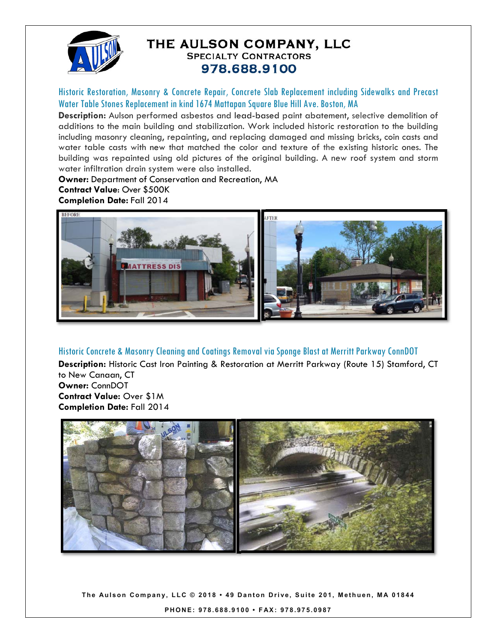

Historic Restoration, Masonry & Concrete Repair, Concrete Slab Replacement including Sidewalks and Precast Water Table Stones Replacement in kind 1674 Mattapan Square Blue Hill Ave. Boston, MA

**Description:** Aulson performed asbestos and lead-based paint abatement, selective demolition of additions to the main building and stabilization. Work included historic restoration to the building including masonry cleaning, repainting, and replacing damaged and missing bricks, coin casts and water table casts with new that matched the color and texture of the existing historic ones. The building was repainted using old pictures of the original building. A new roof system and storm water infiltration drain system were also installed.

**Owner:** Department of Conservation and Recreation, MA

**Contract Value**: Over \$500K **Completion Date:** Fall 2014



## Historic Concrete & Masonry Cleaning and Coatings Removal via Sponge Blast at Merritt Parkway ConnDOT

**Description:** Historic Cast Iron Painting & Restoration at Merritt Parkway (Route 15) Stamford, CT to New Canaan, CT **Owner:** ConnDOT

**Contract Value:** Over \$1M **Completion Date:** Fall 2014

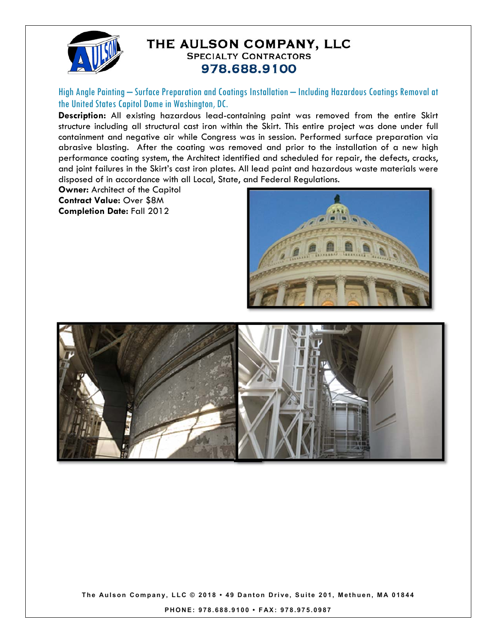

High Angle Painting – Surface Preparation and Coatings Installation – Including Hazardous Coatings Removal at the United States Capitol Dome in Washington, DC.

**Description:** All existing hazardous lead-containing paint was removed from the entire Skirt structure including all structural cast iron within the Skirt. This entire project was done under full containment and negative air while Congress was in session. Performed surface preparation via abrasive blasting. After the coating was removed and prior to the installation of a new high performance coating system, the Architect identified and scheduled for repair, the defects, cracks, and joint failures in the Skirt's cast iron plates. All lead paint and hazardous waste materials were disposed of in accordance with all Local, State, and Federal Regulations.

**Owner:** Architect of the Capitol **Contract Value:** Over \$8M **Completion Date:** Fall 2012





**The Aulson Company, LLC © 2018 • 49 Danton Drive, Suite 201, Me thuen, MA 01844** 

**PHONE: 978.688.9100 • FAX: 978.975.0987**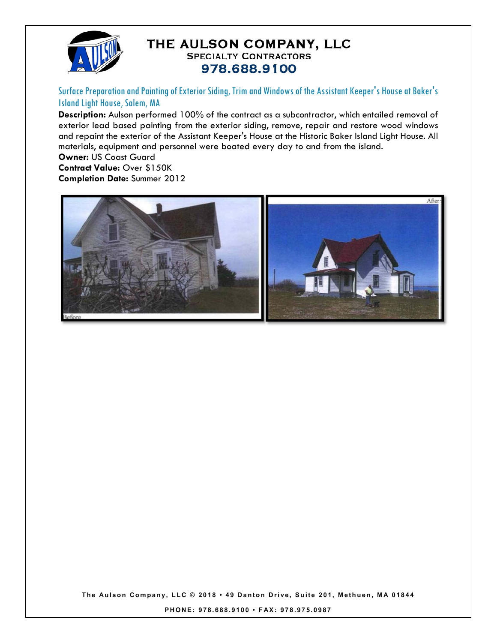

Surface Preparation and Painting of Exterior Siding, Trim and Windows of the Assistant Keeper's House at Baker's Island Light House, Salem, MA

**Description:** Aulson performed 100% of the contract as a subcontractor, which entailed removal of exterior lead based painting from the exterior siding, remove, repair and restore wood windows and repaint the exterior of the Assistant Keeper's House at the Historic Baker Island Light House. All materials, equipment and personnel were boated every day to and from the island.

**Owner:** US Coast Guard

**Contract Value:** Over \$150K

**Completion Date:** Summer 2012



**The Aulson Company, LLC © 2018 • 49 Danton Drive, Suite 201, Me thuen, MA 01844** 

**PHONE: 978.688.9100 • FAX: 978.975.0987**